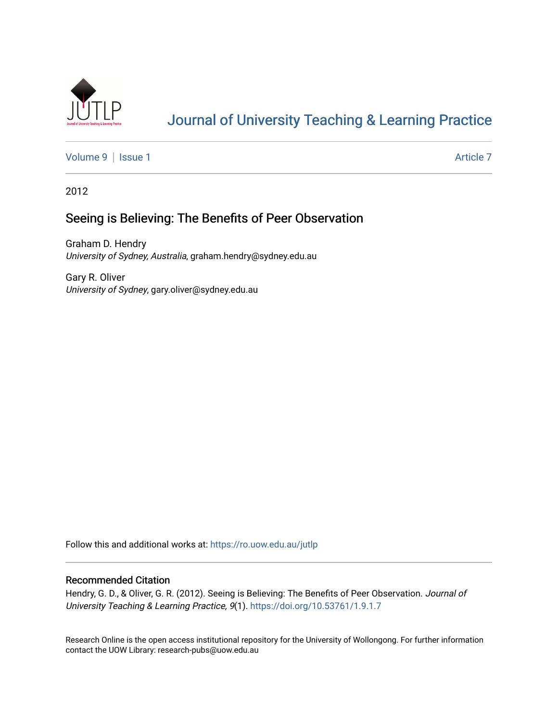

# [Journal of University Teaching & Learning Practice](https://ro.uow.edu.au/jutlp)

[Volume 9](https://ro.uow.edu.au/jutlp/vol9) | [Issue 1](https://ro.uow.edu.au/jutlp/vol9/iss1) Article 7

2012

## Seeing is Believing: The Benefits of Peer Observation

Graham D. Hendry University of Sydney, Australia, graham.hendry@sydney.edu.au

Gary R. Oliver University of Sydney, gary.oliver@sydney.edu.au

Follow this and additional works at: [https://ro.uow.edu.au/jutlp](https://ro.uow.edu.au/jutlp?utm_source=ro.uow.edu.au%2Fjutlp%2Fvol9%2Fiss1%2F7&utm_medium=PDF&utm_campaign=PDFCoverPages) 

#### Recommended Citation

Hendry, G. D., & Oliver, G. R. (2012). Seeing is Believing: The Benefits of Peer Observation. Journal of University Teaching & Learning Practice, 9(1). <https://doi.org/10.53761/1.9.1.7>

Research Online is the open access institutional repository for the University of Wollongong. For further information contact the UOW Library: research-pubs@uow.edu.au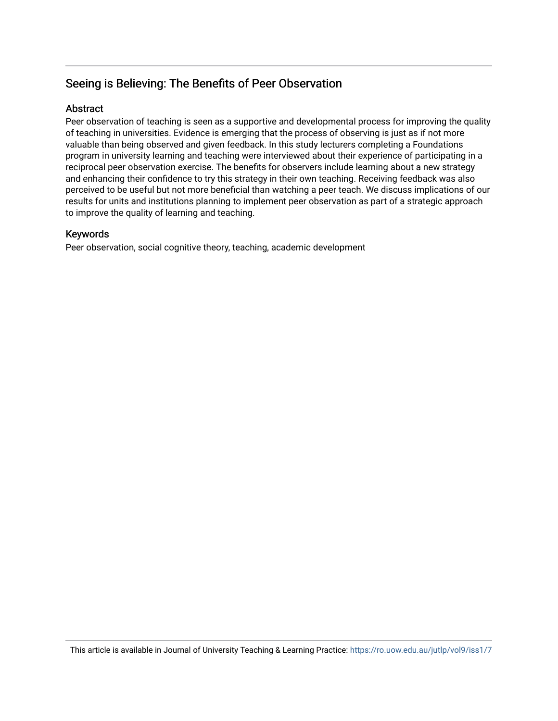# Seeing is Believing: The Benefits of Peer Observation

## **Abstract**

Peer observation of teaching is seen as a supportive and developmental process for improving the quality of teaching in universities. Evidence is emerging that the process of observing is just as if not more valuable than being observed and given feedback. In this study lecturers completing a Foundations program in university learning and teaching were interviewed about their experience of participating in a reciprocal peer observation exercise. The benefits for observers include learning about a new strategy and enhancing their confidence to try this strategy in their own teaching. Receiving feedback was also perceived to be useful but not more beneficial than watching a peer teach. We discuss implications of our results for units and institutions planning to implement peer observation as part of a strategic approach to improve the quality of learning and teaching.

### Keywords

Peer observation, social cognitive theory, teaching, academic development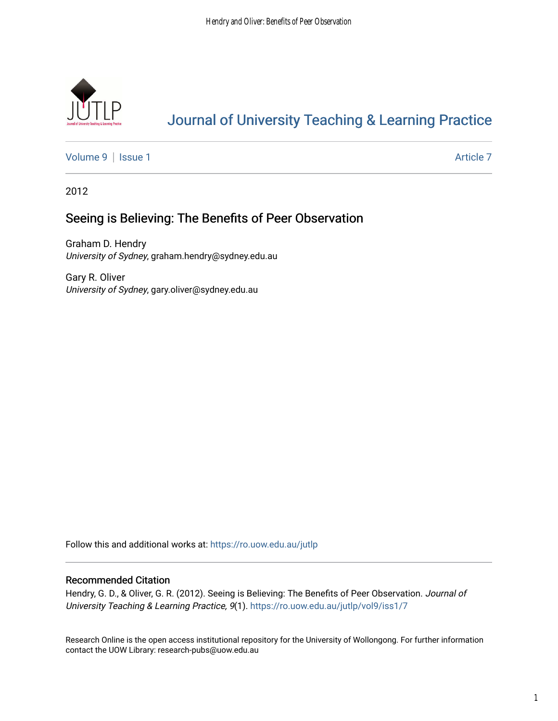

# [Journal of University Teaching & Learning Practice](https://ro.uow.edu.au/jutlp)

[Volume 9](https://ro.uow.edu.au/jutlp/vol9) | [Issue 1](https://ro.uow.edu.au/jutlp/vol9/iss1) Article 7

2012

# Seeing is Believing: The Benefits of Peer Observation

Graham D. Hendry University of Sydney, graham.hendry@sydney.edu.au

Gary R. Oliver University of Sydney, gary.oliver@sydney.edu.au

Follow this and additional works at: [https://ro.uow.edu.au/jutlp](https://ro.uow.edu.au/jutlp?utm_source=ro.uow.edu.au%2Fjutlp%2Fvol9%2Fiss1%2F7&utm_medium=PDF&utm_campaign=PDFCoverPages) 

### Recommended Citation

Hendry, G. D., & Oliver, G. R. (2012). Seeing is Believing: The Benefits of Peer Observation. Journal of University Teaching & Learning Practice, 9(1). [https://ro.uow.edu.au/jutlp/vol9/iss1/7](https://ro.uow.edu.au/jutlp/vol9/iss1/7?utm_source=ro.uow.edu.au%2Fjutlp%2Fvol9%2Fiss1%2F7&utm_medium=PDF&utm_campaign=PDFCoverPages) 

Research Online is the open access institutional repository for the University of Wollongong. For further information contact the UOW Library: research-pubs@uow.edu.au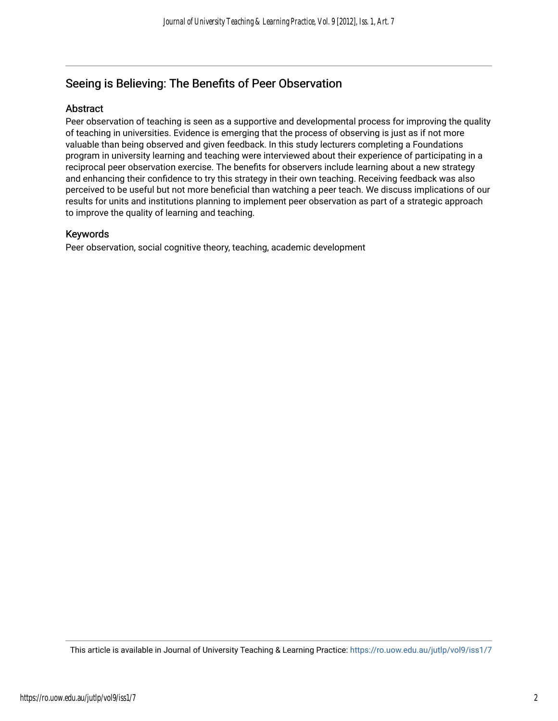# Seeing is Believing: The Benefits of Peer Observation

## Abstract

Peer observation of teaching is seen as a supportive and developmental process for improving the quality of teaching in universities. Evidence is emerging that the process of observing is just as if not more valuable than being observed and given feedback. In this study lecturers completing a Foundations program in university learning and teaching were interviewed about their experience of participating in a reciprocal peer observation exercise. The benefits for observers include learning about a new strategy and enhancing their confidence to try this strategy in their own teaching. Receiving feedback was also perceived to be useful but not more beneficial than watching a peer teach. We discuss implications of our results for units and institutions planning to implement peer observation as part of a strategic approach to improve the quality of learning and teaching.

### Keywords

Peer observation, social cognitive theory, teaching, academic development

This article is available in Journal of University Teaching & Learning Practice:<https://ro.uow.edu.au/jutlp/vol9/iss1/7>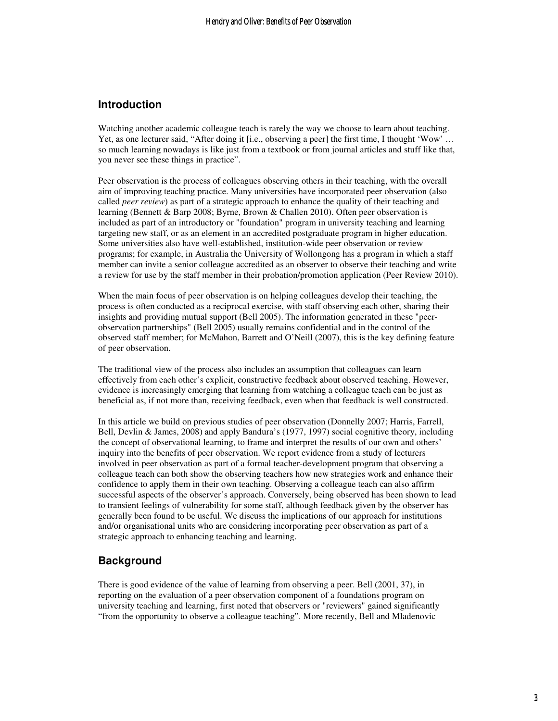#### **Introduction**

Watching another academic colleague teach is rarely the way we choose to learn about teaching. Yet, as one lecturer said, "After doing it [i.e., observing a peer] the first time, I thought 'Wow' … so much learning nowadays is like just from a textbook or from journal articles and stuff like that, you never see these things in practice".

Peer observation is the process of colleagues observing others in their teaching, with the overall aim of improving teaching practice. Many universities have incorporated peer observation (also called *peer review*) as part of a strategic approach to enhance the quality of their teaching and learning (Bennett & Barp 2008; Byrne, Brown & Challen 2010). Often peer observation is included as part of an introductory or "foundation" program in university teaching and learning targeting new staff, or as an element in an accredited postgraduate program in higher education. Some universities also have well-established, institution-wide peer observation or review programs; for example, in Australia the University of Wollongong has a program in which a staff member can invite a senior colleague accredited as an observer to observe their teaching and write a review for use by the staff member in their probation/promotion application (Peer Review 2010).

When the main focus of peer observation is on helping colleagues develop their teaching, the process is often conducted as a reciprocal exercise, with staff observing each other, sharing their insights and providing mutual support (Bell 2005). The information generated in these "peerobservation partnerships" (Bell 2005) usually remains confidential and in the control of the observed staff member; for McMahon, Barrett and O'Neill (2007), this is the key defining feature of peer observation.

The traditional view of the process also includes an assumption that colleagues can learn effectively from each other's explicit, constructive feedback about observed teaching. However, evidence is increasingly emerging that learning from watching a colleague teach can be just as beneficial as, if not more than, receiving feedback, even when that feedback is well constructed.

In this article we build on previous studies of peer observation (Donnelly 2007; Harris, Farrell, Bell, Devlin & James, 2008) and apply Bandura's (1977, 1997) social cognitive theory, including the concept of observational learning, to frame and interpret the results of our own and others' inquiry into the benefits of peer observation. We report evidence from a study of lecturers involved in peer observation as part of a formal teacher-development program that observing a colleague teach can both show the observing teachers how new strategies work and enhance their confidence to apply them in their own teaching. Observing a colleague teach can also affirm successful aspects of the observer's approach. Conversely, being observed has been shown to lead to transient feelings of vulnerability for some staff, although feedback given by the observer has generally been found to be useful. We discuss the implications of our approach for institutions and/or organisational units who are considering incorporating peer observation as part of a strategic approach to enhancing teaching and learning.

#### **Background**

There is good evidence of the value of learning from observing a peer. Bell (2001, 37), in reporting on the evaluation of a peer observation component of a foundations program on university teaching and learning, first noted that observers or "reviewers" gained significantly "from the opportunity to observe a colleague teaching". More recently, Bell and Mladenovic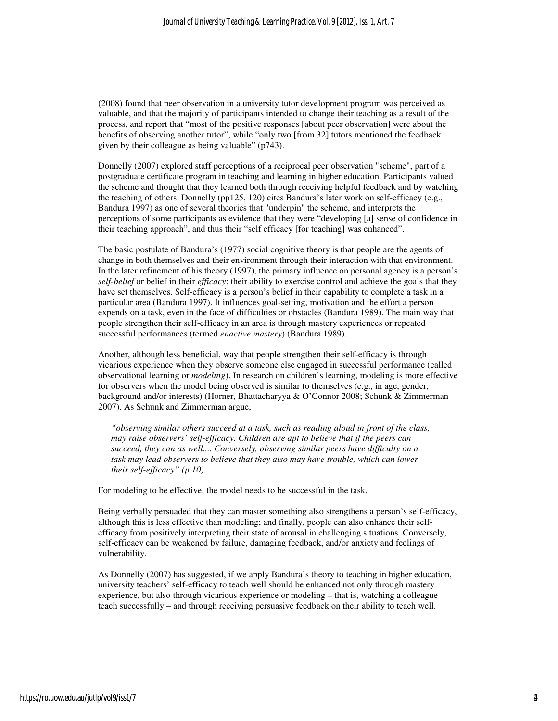(2008) found that peer observation in a university tutor development program was perceived as valuable, and that the majority of participants intended to change their teaching as a result of the process, and report that "most of the positive responses [about peer observation] were about the benefits of observing another tutor", while "only two [from 32] tutors mentioned the feedback given by their colleague as being valuable" (p743).

Donnelly (2007) explored staff perceptions of a reciprocal peer observation "scheme", part of a postgraduate certificate program in teaching and learning in higher education. Participants valued the scheme and thought that they learned both through receiving helpful feedback and by watching the teaching of others. Donnelly (pp125, 120) cites Bandura's later work on self-efficacy (e.g., Bandura 1997) as one of several theories that "underpin" the scheme, and interprets the perceptions of some participants as evidence that they were "developing [a] sense of confidence in their teaching approach", and thus their "self efficacy [for teaching] was enhanced".

The basic postulate of Bandura's (1977) social cognitive theory is that people are the agents of change in both themselves and their environment through their interaction with that environment. In the later refinement of his theory (1997), the primary influence on personal agency is a person's *self-belief* or belief in their *efficacy*: their ability to exercise control and achieve the goals that they have set themselves. Self-efficacy is a person's belief in their capability to complete a task in a particular area (Bandura 1997). It influences goal-setting, motivation and the effort a person expends on a task, even in the face of difficulties or obstacles (Bandura 1989). The main way that people strengthen their self-efficacy in an area is through mastery experiences or repeated successful performances (termed *enactive mastery*) (Bandura 1989).

Another, although less beneficial, way that people strengthen their self-efficacy is through vicarious experience when they observe someone else engaged in successful performance (called observational learning or *modeling*). In research on children's learning, modeling is more effective for observers when the model being observed is similar to themselves (e.g., in age, gender, background and/or interests) (Horner, Bhattacharyya & O'Connor 2008; Schunk & Zimmerman 2007). As Schunk and Zimmerman argue,

*"observing similar others succeed at a task, such as reading aloud in front of the class, may raise observers' self-efficacy. Children are apt to believe that if the peers can succeed, they can as well.... Conversely, observing similar peers have difficulty on a task may lead observers to believe that they also may have trouble, which can lower their self-efficacy" (p 10).* 

For modeling to be effective, the model needs to be successful in the task.

Being verbally persuaded that they can master something also strengthens a person's self-efficacy, although this is less effective than modeling; and finally, people can also enhance their selfefficacy from positively interpreting their state of arousal in challenging situations. Conversely, self-efficacy can be weakened by failure, damaging feedback, and/or anxiety and feelings of vulnerability.

As Donnelly (2007) has suggested, if we apply Bandura's theory to teaching in higher education, university teachers' self-efficacy to teach well should be enhanced not only through mastery experience, but also through vicarious experience or modeling – that is, watching a colleague teach successfully – and through receiving persuasive feedback on their ability to teach well.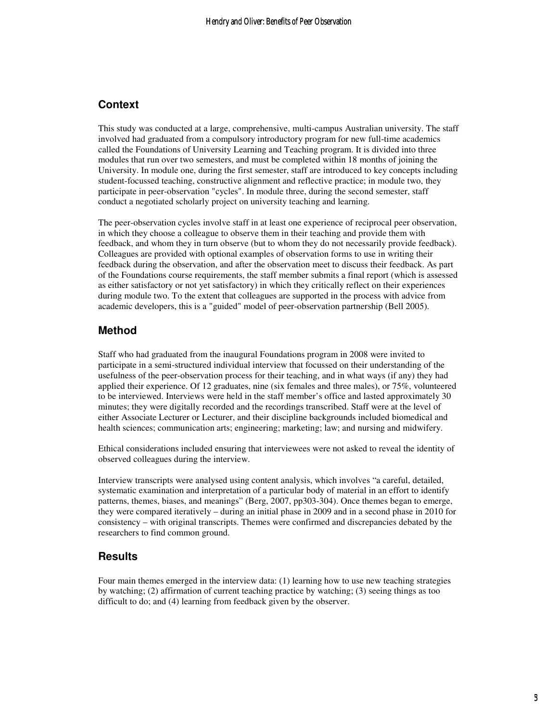### **Context**

This study was conducted at a large, comprehensive, multi-campus Australian university. The staff involved had graduated from a compulsory introductory program for new full-time academics called the Foundations of University Learning and Teaching program. It is divided into three modules that run over two semesters, and must be completed within 18 months of joining the University. In module one, during the first semester, staff are introduced to key concepts including student-focussed teaching, constructive alignment and reflective practice; in module two, they participate in peer-observation "cycles". In module three, during the second semester, staff conduct a negotiated scholarly project on university teaching and learning.

The peer-observation cycles involve staff in at least one experience of reciprocal peer observation, in which they choose a colleague to observe them in their teaching and provide them with feedback, and whom they in turn observe (but to whom they do not necessarily provide feedback). Colleagues are provided with optional examples of observation forms to use in writing their feedback during the observation, and after the observation meet to discuss their feedback. As part of the Foundations course requirements, the staff member submits a final report (which is assessed as either satisfactory or not yet satisfactory) in which they critically reflect on their experiences during module two. To the extent that colleagues are supported in the process with advice from academic developers, this is a "guided" model of peer-observation partnership (Bell 2005).

### **Method**

Staff who had graduated from the inaugural Foundations program in 2008 were invited to participate in a semi-structured individual interview that focussed on their understanding of the usefulness of the peer-observation process for their teaching, and in what ways (if any) they had applied their experience. Of 12 graduates, nine (six females and three males), or 75%, volunteered to be interviewed. Interviews were held in the staff member's office and lasted approximately 30 minutes; they were digitally recorded and the recordings transcribed. Staff were at the level of either Associate Lecturer or Lecturer, and their discipline backgrounds included biomedical and health sciences; communication arts; engineering; marketing; law; and nursing and midwifery.

Ethical considerations included ensuring that interviewees were not asked to reveal the identity of observed colleagues during the interview.

Interview transcripts were analysed using content analysis, which involves "a careful, detailed, systematic examination and interpretation of a particular body of material in an effort to identify patterns, themes, biases, and meanings" (Berg, 2007, pp303-304). Once themes began to emerge, they were compared iteratively – during an initial phase in 2009 and in a second phase in 2010 for consistency – with original transcripts. Themes were confirmed and discrepancies debated by the researchers to find common ground.

#### **Results**

Four main themes emerged in the interview data: (1) learning how to use new teaching strategies by watching; (2) affirmation of current teaching practice by watching; (3) seeing things as too difficult to do; and (4) learning from feedback given by the observer.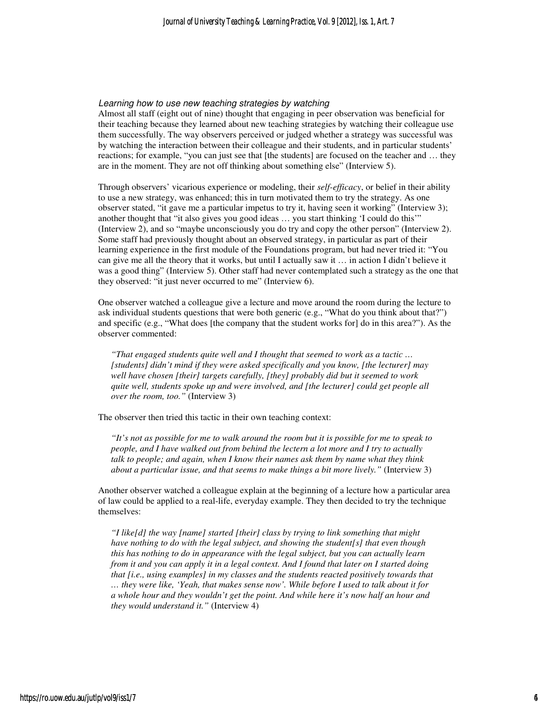#### Learning how to use new teaching strategies by watching

Almost all staff (eight out of nine) thought that engaging in peer observation was beneficial for their teaching because they learned about new teaching strategies by watching their colleague use them successfully. The way observers perceived or judged whether a strategy was successful was by watching the interaction between their colleague and their students, and in particular students' reactions; for example, "you can just see that [the students] are focused on the teacher and … they are in the moment. They are not off thinking about something else" (Interview 5).

Through observers' vicarious experience or modeling, their *self-efficacy*, or belief in their ability to use a new strategy, was enhanced; this in turn motivated them to try the strategy. As one observer stated, "it gave me a particular impetus to try it, having seen it working" (Interview 3); another thought that "it also gives you good ideas … you start thinking 'I could do this'" (Interview 2), and so "maybe unconsciously you do try and copy the other person" (Interview 2). Some staff had previously thought about an observed strategy, in particular as part of their learning experience in the first module of the Foundations program, but had never tried it: "You can give me all the theory that it works, but until I actually saw it … in action I didn't believe it was a good thing" (Interview 5). Other staff had never contemplated such a strategy as the one that they observed: "it just never occurred to me" (Interview 6).

One observer watched a colleague give a lecture and move around the room during the lecture to ask individual students questions that were both generic (e.g., "What do you think about that?") and specific (e.g., "What does [the company that the student works for] do in this area?"). As the observer commented:

*"That engaged students quite well and I thought that seemed to work as a tactic … [students] didn't mind if they were asked specifically and you know, [the lecturer] may well have chosen [their] targets carefully, [they] probably did but it seemed to work quite well, students spoke up and were involved, and [the lecturer] could get people all over the room, too."* (Interview 3)

The observer then tried this tactic in their own teaching context:

*"It's not as possible for me to walk around the room but it is possible for me to speak to people, and I have walked out from behind the lectern a lot more and I try to actually talk to people; and again, when I know their names ask them by name what they think about a particular issue, and that seems to make things a bit more lively."* (Interview 3)

Another observer watched a colleague explain at the beginning of a lecture how a particular area of law could be applied to a real-life, everyday example. They then decided to try the technique themselves:

*"I like[d] the way [name] started [their] class by trying to link something that might have nothing to do with the legal subject, and showing the student[s] that even though this has nothing to do in appearance with the legal subject, but you can actually learn from it and you can apply it in a legal context. And I found that later on I started doing that [i.e., using examples] in my classes and the students reacted positively towards that … they were like, 'Yeah, that makes sense now'. While before I used to talk about it for a whole hour and they wouldn't get the point. And while here it's now half an hour and they would understand it."* (Interview 4)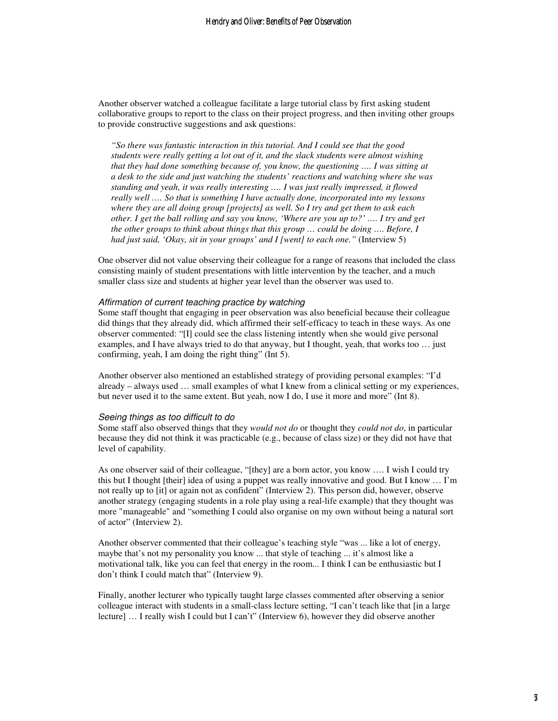Another observer watched a colleague facilitate a large tutorial class by first asking student collaborative groups to report to the class on their project progress, and then inviting other groups to provide constructive suggestions and ask questions:

*"So there was fantastic interaction in this tutorial. And I could see that the good students were really getting a lot out of it, and the slack students were almost wishing that they had done something because of, you know, the questioning …. I was sitting at a desk to the side and just watching the students' reactions and watching where she was standing and yeah, it was really interesting …. I was just really impressed, it flowed really well …. So that is something I have actually done, incorporated into my lessons where they are all doing group [projects] as well. So I try and get them to ask each other. I get the ball rolling and say you know, 'Where are you up to?' …. I try and get the other groups to think about things that this group … could be doing …. Before, I had just said, 'Okay, sit in your groups' and I [went] to each one."* (Interview 5)

One observer did not value observing their colleague for a range of reasons that included the class consisting mainly of student presentations with little intervention by the teacher, and a much smaller class size and students at higher year level than the observer was used to.

#### Affirmation of current teaching practice by watching

Some staff thought that engaging in peer observation was also beneficial because their colleague did things that they already did, which affirmed their self-efficacy to teach in these ways. As one observer commented: "[I] could see the class listening intently when she would give personal examples, and I have always tried to do that anyway, but I thought, yeah, that works too … just confirming, yeah, I am doing the right thing" (Int 5).

Another observer also mentioned an established strategy of providing personal examples: "I'd already – always used … small examples of what I knew from a clinical setting or my experiences, but never used it to the same extent. But yeah, now I do, I use it more and more" (Int 8).

#### Seeing things as too difficult to do

Some staff also observed things that they *would not do* or thought they *could not do*, in particular because they did not think it was practicable (e.g., because of class size) or they did not have that level of capability.

As one observer said of their colleague, "[they] are a born actor, you know …. I wish I could try this but I thought [their] idea of using a puppet was really innovative and good. But I know … I'm not really up to [it] or again not as confident" (Interview 2). This person did, however, observe another strategy (engaging students in a role play using a real-life example) that they thought was more "manageable" and "something I could also organise on my own without being a natural sort of actor" (Interview 2).

Another observer commented that their colleague's teaching style "was ... like a lot of energy, maybe that's not my personality you know ... that style of teaching ... it's almost like a motivational talk, like you can feel that energy in the room... I think I can be enthusiastic but I don't think I could match that" (Interview 9).

Finally, another lecturer who typically taught large classes commented after observing a senior colleague interact with students in a small-class lecture setting, "I can't teach like that [in a large lecture] … I really wish I could but I can't" (Interview 6), however they did observe another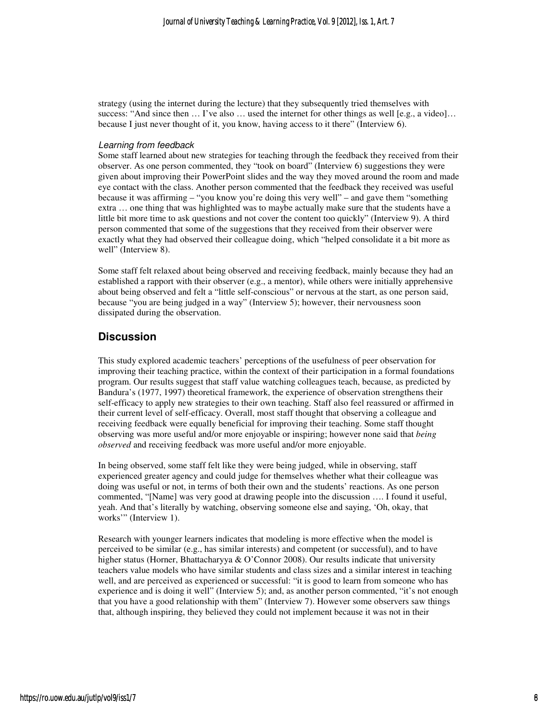strategy (using the internet during the lecture) that they subsequently tried themselves with success: "And since then ... I've also ... used the internet for other things as well [e.g., a video]... because I just never thought of it, you know, having access to it there" (Interview 6).

#### Learning from feedback

Some staff learned about new strategies for teaching through the feedback they received from their observer. As one person commented, they "took on board" (Interview 6) suggestions they were given about improving their PowerPoint slides and the way they moved around the room and made eye contact with the class. Another person commented that the feedback they received was useful because it was affirming – "you know you're doing this very well" – and gave them "something extra … one thing that was highlighted was to maybe actually make sure that the students have a little bit more time to ask questions and not cover the content too quickly" (Interview 9). A third person commented that some of the suggestions that they received from their observer were exactly what they had observed their colleague doing, which "helped consolidate it a bit more as well" (Interview 8).

Some staff felt relaxed about being observed and receiving feedback, mainly because they had an established a rapport with their observer (e.g., a mentor), while others were initially apprehensive about being observed and felt a "little self-conscious" or nervous at the start, as one person said, because "you are being judged in a way" (Interview 5); however, their nervousness soon dissipated during the observation.

#### **Discussion**

This study explored academic teachers' perceptions of the usefulness of peer observation for improving their teaching practice, within the context of their participation in a formal foundations program. Our results suggest that staff value watching colleagues teach, because, as predicted by Bandura's (1977, 1997) theoretical framework, the experience of observation strengthens their self-efficacy to apply new strategies to their own teaching. Staff also feel reassured or affirmed in their current level of self-efficacy. Overall, most staff thought that observing a colleague and receiving feedback were equally beneficial for improving their teaching. Some staff thought observing was more useful and/or more enjoyable or inspiring; however none said that *being observed* and receiving feedback was more useful and/or more enjoyable.

In being observed, some staff felt like they were being judged, while in observing, staff experienced greater agency and could judge for themselves whether what their colleague was doing was useful or not, in terms of both their own and the students' reactions. As one person commented, "[Name] was very good at drawing people into the discussion …. I found it useful, yeah. And that's literally by watching, observing someone else and saying, 'Oh, okay, that works'" (Interview 1).

Research with younger learners indicates that modeling is more effective when the model is perceived to be similar (e.g., has similar interests) and competent (or successful), and to have higher status (Horner, Bhattacharyya & O'Connor 2008). Our results indicate that university teachers value models who have similar students and class sizes and a similar interest in teaching well, and are perceived as experienced or successful: "it is good to learn from someone who has experience and is doing it well" (Interview 5); and, as another person commented, "it's not enough that you have a good relationship with them" (Interview 7). However some observers saw things that, although inspiring, they believed they could not implement because it was not in their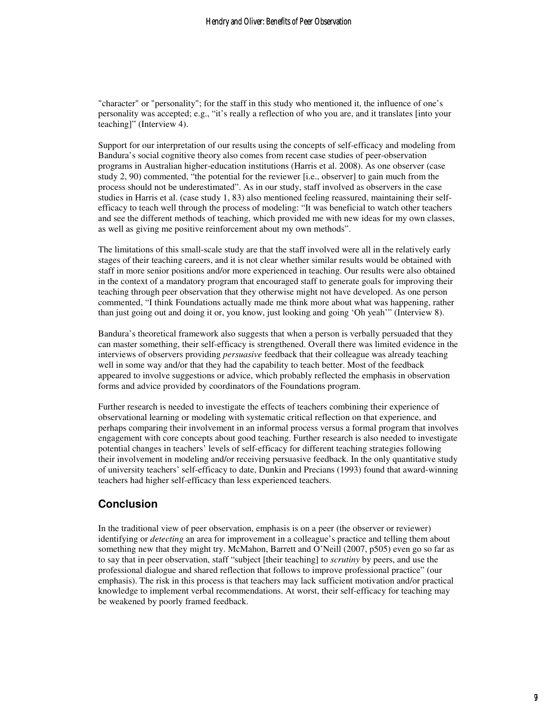"character" or "personality"; for the staff in this study who mentioned it, the influence of one's personality was accepted; e.g., "it's really a reflection of who you are, and it translates [into your teaching]" (Interview 4).

Support for our interpretation of our results using the concepts of self-efficacy and modeling from Bandura's social cognitive theory also comes from recent case studies of peer-observation programs in Australian higher-education institutions (Harris et al. 2008). As one observer (case study 2, 90) commented, "the potential for the reviewer [i.e., observer] to gain much from the process should not be underestimated". As in our study, staff involved as observers in the case studies in Harris et al. (case study 1, 83) also mentioned feeling reassured, maintaining their selfefficacy to teach well through the process of modeling: "It was beneficial to watch other teachers and see the different methods of teaching, which provided me with new ideas for my own classes, as well as giving me positive reinforcement about my own methods".

The limitations of this small-scale study are that the staff involved were all in the relatively early stages of their teaching careers, and it is not clear whether similar results would be obtained with staff in more senior positions and/or more experienced in teaching. Our results were also obtained in the context of a mandatory program that encouraged staff to generate goals for improving their teaching through peer observation that they otherwise might not have developed. As one person commented, "I think Foundations actually made me think more about what was happening, rather than just going out and doing it or, you know, just looking and going 'Oh yeah'" (Interview 8).

Bandura's theoretical framework also suggests that when a person is verbally persuaded that they can master something, their self-efficacy is strengthened. Overall there was limited evidence in the interviews of observers providing *persuasive* feedback that their colleague was already teaching well in some way and/or that they had the capability to teach better. Most of the feedback appeared to involve suggestions or advice, which probably reflected the emphasis in observation forms and advice provided by coordinators of the Foundations program.

Further research is needed to investigate the effects of teachers combining their experience of observational learning or modeling with systematic critical reflection on that experience, and perhaps comparing their involvement in an informal process versus a formal program that involves engagement with core concepts about good teaching. Further research is also needed to investigate potential changes in teachers' levels of self-efficacy for different teaching strategies following their involvement in modeling and/or receiving persuasive feedback. In the only quantitative study of university teachers' self-efficacy to date, Dunkin and Precians (1993) found that award-winning teachers had higher self-efficacy than less experienced teachers.

## **Conclusion**

In the traditional view of peer observation, emphasis is on a peer (the observer or reviewer) identifying or *detecting* an area for improvement in a colleague's practice and telling them about something new that they might try. McMahon, Barrett and O'Neill (2007, p505) even go so far as to say that in peer observation, staff "subject [their teaching] to *scrutiny* by peers, and use the professional dialogue and shared reflection that follows to improve professional practice" (our emphasis). The risk in this process is that teachers may lack sufficient motivation and/or practical knowledge to implement verbal recommendations. At worst, their self-efficacy for teaching may be weakened by poorly framed feedback.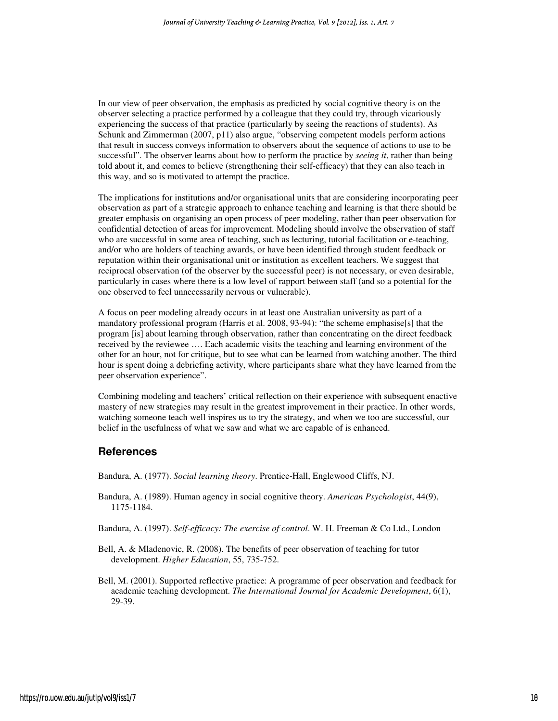In our view of peer observation, the emphasis as predicted by social cognitive theory is on the observer selecting a practice performed by a colleague that they could try, through vicariously experiencing the success of that practice (particularly by seeing the reactions of students). As Schunk and Zimmerman (2007, p11) also argue, "observing competent models perform actions that result in success conveys information to observers about the sequence of actions to use to be successful". The observer learns about how to perform the practice by *seeing it*, rather than being told about it, and comes to believe (strengthening their self-efficacy) that they can also teach in this way, and so is motivated to attempt the practice.

The implications for institutions and/or organisational units that are considering incorporating peer observation as part of a strategic approach to enhance teaching and learning is that there should be greater emphasis on organising an open process of peer modeling, rather than peer observation for confidential detection of areas for improvement. Modeling should involve the observation of staff who are successful in some area of teaching, such as lecturing, tutorial facilitation or e-teaching, and/or who are holders of teaching awards, or have been identified through student feedback or reputation within their organisational unit or institution as excellent teachers. We suggest that reciprocal observation (of the observer by the successful peer) is not necessary, or even desirable, particularly in cases where there is a low level of rapport between staff (and so a potential for the one observed to feel unnecessarily nervous or vulnerable).

A focus on peer modeling already occurs in at least one Australian university as part of a mandatory professional program (Harris et al. 2008, 93-94): "the scheme emphasise[s] that the program [is] about learning through observation, rather than concentrating on the direct feedback received by the reviewee …. Each academic visits the teaching and learning environment of the other for an hour, not for critique, but to see what can be learned from watching another. The third hour is spent doing a debriefing activity, where participants share what they have learned from the peer observation experience".

Combining modeling and teachers' critical reflection on their experience with subsequent enactive mastery of new strategies may result in the greatest improvement in their practice. In other words, watching someone teach well inspires us to try the strategy, and when we too are successful, our belief in the usefulness of what we saw and what we are capable of is enhanced.

#### **References**

Bandura, A. (1977). *Social learning theory*. Prentice-Hall, Englewood Cliffs, NJ.

- Bandura, A. (1989). Human agency in social cognitive theory. *American Psychologist*, 44(9), 1175-1184.
- Bandura, A. (1997). *Self-efficacy: The exercise of control*. W. H. Freeman & Co Ltd., London
- Bell, A. & Mladenovic, R. (2008). The benefits of peer observation of teaching for tutor development. *Higher Education*, 55, 735-752.
- Bell, M. (2001). Supported reflective practice: A programme of peer observation and feedback for academic teaching development. *The International Journal for Academic Development*, 6(1), 29-39.